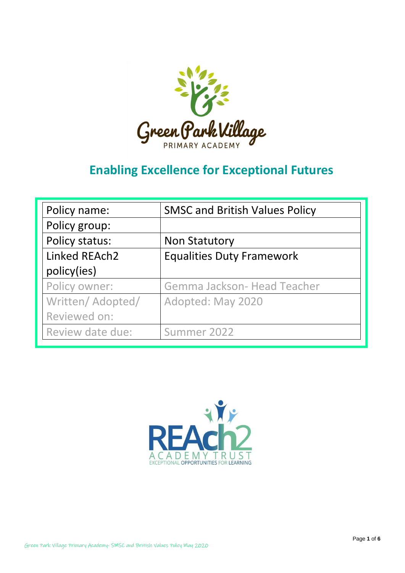

# **Enabling Excellence for Exceptional Futures**

| Policy name:      | <b>SMSC and British Values Policy</b> |
|-------------------|---------------------------------------|
| Policy group:     |                                       |
| Policy status:    | <b>Non Statutory</b>                  |
| Linked REAch2     | <b>Equalities Duty Framework</b>      |
| policy(ies)       |                                       |
| Policy owner:     | Gemma Jackson- Head Teacher           |
| Written/ Adopted/ | Adopted: May 2020                     |
| Reviewed on:      |                                       |
| Review date due:  | Summer 2022                           |

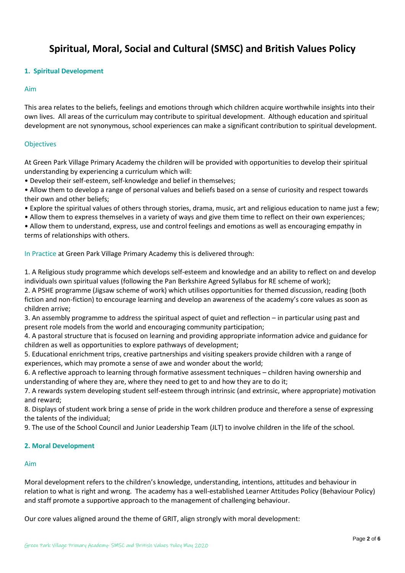### **Spiritual, Moral, Social and Cultural (SMSC) and British Values Policy**

#### **1. Spiritual Development**

#### Aim

This area relates to the beliefs, feelings and emotions through which children acquire worthwhile insights into their own lives. All areas of the curriculum may contribute to spiritual development. Although education and spiritual development are not synonymous, school experiences can make a significant contribution to spiritual development.

### **Objectives**

At Green Park Village Primary Academy the children will be provided with opportunities to develop their spiritual understanding by experiencing a curriculum which will:

• Develop their self-esteem, self-knowledge and belief in themselves;

• Allow them to develop a range of personal values and beliefs based on a sense of curiosity and respect towards their own and other beliefs;

• Explore the spiritual values of others through stories, drama, music, art and religious education to name just a few;

• Allow them to express themselves in a variety of ways and give them time to reflect on their own experiences;

• Allow them to understand, express, use and control feelings and emotions as well as encouraging empathy in terms of relationships with others.

In Practice at Green Park Village Primary Academy this is delivered through:

1. A Religious study programme which develops self-esteem and knowledge and an ability to reflect on and develop individuals own spiritual values (following the Pan Berkshire Agreed Syllabus for RE scheme of work);

2. A PSHE programme (Jigsaw scheme of work) which utilises opportunities for themed discussion, reading (both fiction and non-fiction) to encourage learning and develop an awareness of the academy's core values as soon as children arrive;

3. An assembly programme to address the spiritual aspect of quiet and reflection – in particular using past and present role models from the world and encouraging community participation;

4. A pastoral structure that is focused on learning and providing appropriate information advice and guidance for children as well as opportunities to explore pathways of development;

5. Educational enrichment trips, creative partnerships and visiting speakers provide children with a range of experiences, which may promote a sense of awe and wonder about the world;

6. A reflective approach to learning through formative assessment techniques – children having ownership and understanding of where they are, where they need to get to and how they are to do it;

7. A rewards system developing student self-esteem through intrinsic (and extrinsic, where appropriate) motivation and reward;

8. Displays of student work bring a sense of pride in the work children produce and therefore a sense of expressing the talents of the individual;

9. The use of the School Council and Junior Leadership Team (JLT) to involve children in the life of the school.

#### **2. Moral Development**

#### Aim

Moral development refers to the children's knowledge, understanding, intentions, attitudes and behaviour in relation to what is right and wrong. The academy has a well-established Learner Attitudes Policy (Behaviour Policy) and staff promote a supportive approach to the management of challenging behaviour.

Our core values aligned around the theme of GRIT, align strongly with moral development: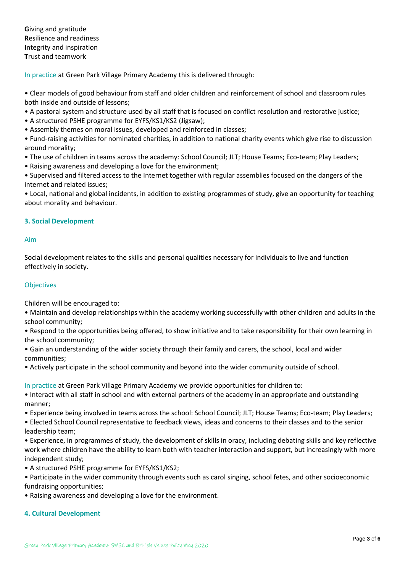**G**iving and gratitude **R**esilience and readiness **I**ntegrity and inspiration **T**rust and teamwork

In practice at Green Park Village Primary Academy this is delivered through:

• Clear models of good behaviour from staff and older children and reinforcement of school and classroom rules both inside and outside of lessons;

- A pastoral system and structure used by all staff that is focused on conflict resolution and restorative justice;
- A structured PSHE programme for EYFS/KS1/KS2 (Jigsaw);
- Assembly themes on moral issues, developed and reinforced in classes;

• Fund-raising activities for nominated charities, in addition to national charity events which give rise to discussion around morality;

- The use of children in teams across the academy: School Council; JLT; House Teams; Eco-team; Play Leaders;
- Raising awareness and developing a love for the environment;

• Supervised and filtered access to the Internet together with regular assemblies focused on the dangers of the internet and related issues;

• Local, national and global incidents, in addition to existing programmes of study, give an opportunity for teaching about morality and behaviour.

### **3. Social Development**

#### Aim

Social development relates to the skills and personal qualities necessary for individuals to live and function effectively in society.

### **Objectives**

Children will be encouraged to:

• Maintain and develop relationships within the academy working successfully with other children and adults in the school community;

• Respond to the opportunities being offered, to show initiative and to take responsibility for their own learning in the school community;

• Gain an understanding of the wider society through their family and carers, the school, local and wider communities;

• Actively participate in the school community and beyond into the wider community outside of school.

In practice at Green Park Village Primary Academy we provide opportunities for children to:

- Interact with all staff in school and with external partners of the academy in an appropriate and outstanding manner;
- Experience being involved in teams across the school: School Council; JLT; House Teams; Eco-team; Play Leaders;
- Elected School Council representative to feedback views, ideas and concerns to their classes and to the senior leadership team;
- Experience, in programmes of study, the development of skills in oracy, including debating skills and key reflective work where children have the ability to learn both with teacher interaction and support, but increasingly with more independent study;
- A structured PSHE programme for EYFS/KS1/KS2;
- Participate in the wider community through events such as carol singing, school fetes, and other socioeconomic fundraising opportunities;
- Raising awareness and developing a love for the environment.

#### **4. Cultural Development**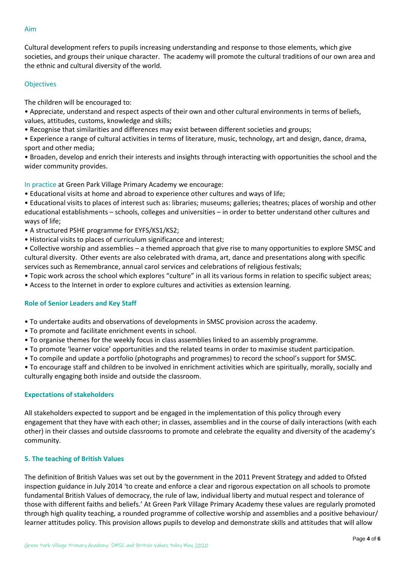## the ethnic and cultural diversity of the world.

#### **Objectives**

The children will be encouraged to:

• Appreciate, understand and respect aspects of their own and other cultural environments in terms of beliefs, values, attitudes, customs, knowledge and skills;

Cultural development refers to pupils increasing understanding and response to those elements, which give

societies, and groups their unique character. The academy will promote the cultural traditions of our own area and

- Recognise that similarities and differences may exist between different societies and groups;
- Experience a range of cultural activities in terms of literature, music, technology, art and design, dance, drama, sport and other media;
- Broaden, develop and enrich their interests and insights through interacting with opportunities the school and the wider community provides.

In practice at Green Park Village Primary Academy we encourage:

- Educational visits at home and abroad to experience other cultures and ways of life;
- Educational visits to places of interest such as: libraries; museums; galleries; theatres; places of worship and other educational establishments – schools, colleges and universities – in order to better understand other cultures and ways of life;
- A structured PSHE programme for EYFS/KS1/KS2;
- Historical visits to places of curriculum significance and interest;
- Collective worship and assemblies a themed approach that give rise to many opportunities to explore SMSC and cultural diversity. Other events are also celebrated with drama, art, dance and presentations along with specific services such as Remembrance, annual carol services and celebrations of religious festivals;
- Topic work across the school which explores "culture" in all its various forms in relation to specific subject areas;
- Access to the Internet in order to explore cultures and activities as extension learning.

#### **Role of Senior Leaders and Key Staff**

- To undertake audits and observations of developments in SMSC provision across the academy.
- To promote and facilitate enrichment events in school.
- To organise themes for the weekly focus in class assemblies linked to an assembly programme.
- To promote 'learner voice' opportunities and the related teams in order to maximise student participation.
- To compile and update a portfolio (photographs and programmes) to record the school's support for SMSC.
- To encourage staff and children to be involved in enrichment activities which are spiritually, morally, socially and culturally engaging both inside and outside the classroom.

#### **Expectations of stakeholders**

All stakeholders expected to support and be engaged in the implementation of this policy through every engagement that they have with each other; in classes, assemblies and in the course of daily interactions (with each other) in their classes and outside classrooms to promote and celebrate the equality and diversity of the academy's community.

#### **5. The teaching of British Values**

The definition of British Values was set out by the government in the 2011 Prevent Strategy and added to Ofsted inspection guidance in July 2014 'to create and enforce a clear and rigorous expectation on all schools to promote fundamental British Values of democracy, the rule of law, individual liberty and mutual respect and tolerance of those with different faiths and beliefs.' At Green Park Village Primary Academy these values are regularly promoted through high quality teaching, a rounded programme of collective worship and assemblies and a positive behaviour/ learner attitudes policy. This provision allows pupils to develop and demonstrate skills and attitudes that will allow

#### Page **4** of **6**

#### Aim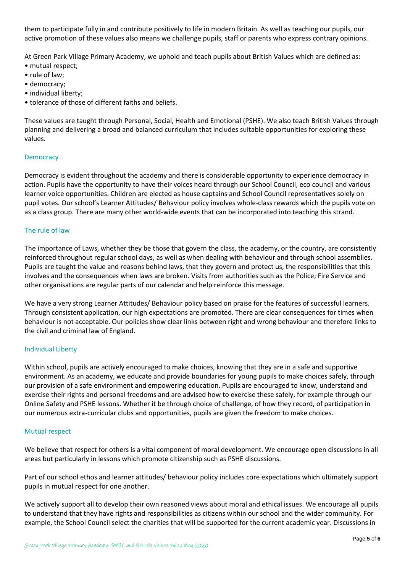them to participate fully in and contribute positively to life in modern Britain. As well as teaching our pupils, our active promotion of these values also means we challenge pupils, staff or parents who express contrary opinions.

At Green Park Village Primary Academy, we uphold and teach pupils about British Values which are defined as:

- mutual respect;
- rule of law;
- democracy;
- individual liberty;
- tolerance of those of different faiths and beliefs.

These values are taught through Personal, Social, Health and Emotional (PSHE). We also teach British Values through planning and delivering a broad and balanced curriculum that includes suitable opportunities for exploring these values.

#### **Democracy**

Democracy is evident throughout the academy and there is considerable opportunity to experience democracy in action. Pupils have the opportunity to have their voices heard through our School Council, eco council and various learner voice opportunities. Children are elected as house captains and School Council representatives solely on pupil votes. Our school's Learner Attitudes/ Behaviour policy involves whole-class rewards which the pupils vote on as a class group. There are many other world-wide events that can be incorporated into teaching this strand.

#### The rule of law

The importance of Laws, whether they be those that govern the class, the academy, or the country, are consistently reinforced throughout regular school days, as well as when dealing with behaviour and through school assemblies. Pupils are taught the value and reasons behind laws, that they govern and protect us, the responsibilities that this involves and the consequences when laws are broken. Visits from authorities such as the Police; Fire Service and other organisations are regular parts of our calendar and help reinforce this message.

We have a very strong Learner Attitudes/ Behaviour policy based on praise for the features of successful learners. Through consistent application, our high expectations are promoted. There are clear consequences for times when behaviour is not acceptable. Our policies show clear links between right and wrong behaviour and therefore links to the civil and criminal law of England.

#### Individual Liberty

Within school, pupils are actively encouraged to make choices, knowing that they are in a safe and supportive environment. As an academy, we educate and provide boundaries for young pupils to make choices safely, through our provision of a safe environment and empowering education. Pupils are encouraged to know, understand and exercise their rights and personal freedoms and are advised how to exercise these safely, for example through our Online Safety and PSHE lessons. Whether it be through choice of challenge, of how they record, of participation in our numerous extra-curricular clubs and opportunities, pupils are given the freedom to make choices.

#### Mutual respect

We believe that respect for others is a vital component of moral development. We encourage open discussions in all areas but particularly in lessons which promote citizenship such as PSHE discussions.

Part of our school ethos and learner attitudes/ behaviour policy includes core expectations which ultimately support pupils in mutual respect for one another.

We actively support all to develop their own reasoned views about moral and ethical issues. We encourage all pupils to understand that they have rights and responsibilities as citizens within our school and the wider community. For example, the School Council select the charities that will be supported for the current academic year. Discussions in